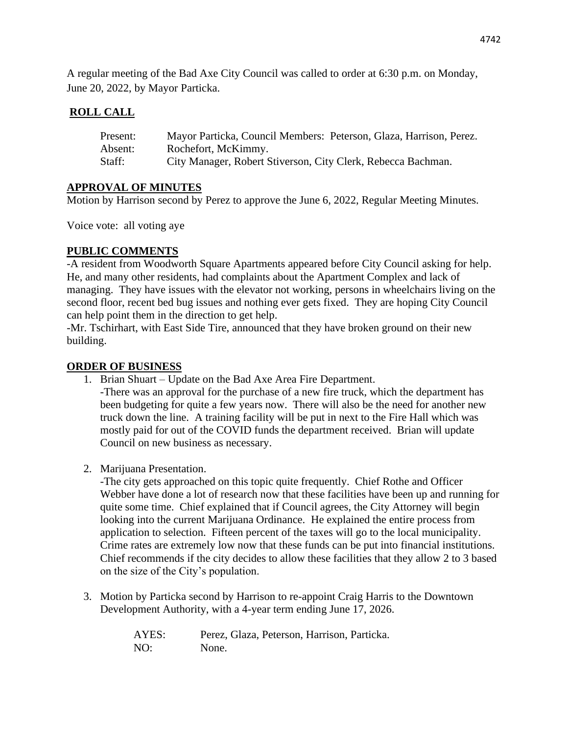A regular meeting of the Bad Axe City Council was called to order at 6:30 p.m. on Monday, June 20, 2022, by Mayor Particka.

## **ROLL CALL**

| Present: | Mayor Particka, Council Members: Peterson, Glaza, Harrison, Perez. |
|----------|--------------------------------------------------------------------|
| Absent:  | Rochefort, McKimmy.                                                |
| Staff:   | City Manager, Robert Stiverson, City Clerk, Rebecca Bachman.       |

### **APPROVAL OF MINUTES**

Motion by Harrison second by Perez to approve the June 6, 2022, Regular Meeting Minutes.

Voice vote: all voting aye

### **PUBLIC COMMENTS**

-A resident from Woodworth Square Apartments appeared before City Council asking for help. He, and many other residents, had complaints about the Apartment Complex and lack of managing. They have issues with the elevator not working, persons in wheelchairs living on the second floor, recent bed bug issues and nothing ever gets fixed. They are hoping City Council can help point them in the direction to get help.

-Mr. Tschirhart, with East Side Tire, announced that they have broken ground on their new building.

### **ORDER OF BUSINESS**

- 1. Brian Shuart Update on the Bad Axe Area Fire Department.
	- -There was an approval for the purchase of a new fire truck, which the department has been budgeting for quite a few years now. There will also be the need for another new truck down the line. A training facility will be put in next to the Fire Hall which was mostly paid for out of the COVID funds the department received. Brian will update Council on new business as necessary.
- 2. Marijuana Presentation.

-The city gets approached on this topic quite frequently. Chief Rothe and Officer Webber have done a lot of research now that these facilities have been up and running for quite some time. Chief explained that if Council agrees, the City Attorney will begin looking into the current Marijuana Ordinance. He explained the entire process from application to selection. Fifteen percent of the taxes will go to the local municipality. Crime rates are extremely low now that these funds can be put into financial institutions. Chief recommends if the city decides to allow these facilities that they allow 2 to 3 based on the size of the City's population.

3. Motion by Particka second by Harrison to re-appoint Craig Harris to the Downtown Development Authority, with a 4-year term ending June 17, 2026.

> AYES: Perez, Glaza, Peterson, Harrison, Particka. NO: None.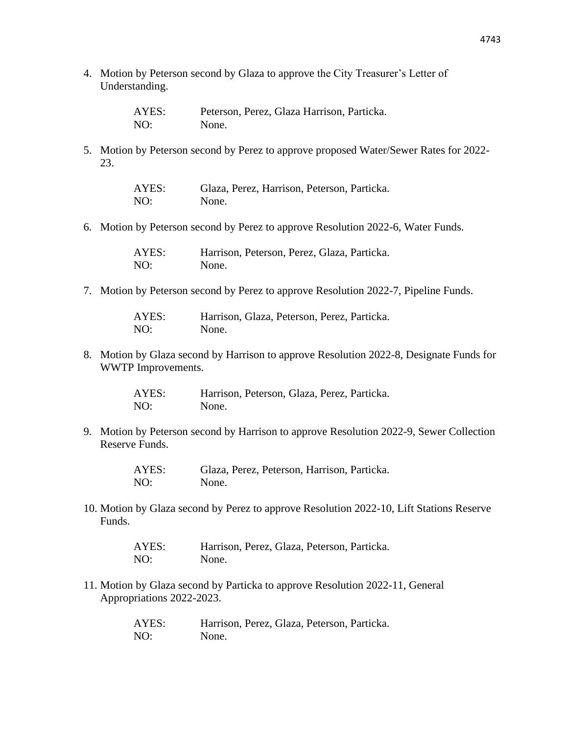4. Motion by Peterson second by Glaza to approve the City Treasurer's Letter of Understanding.

| AYES: | Peterson, Perez, Glaza Harrison, Particka. |
|-------|--------------------------------------------|
| NO:   | None.                                      |

5. Motion by Peterson second by Perez to approve proposed Water/Sewer Rates for 2022- 23.

| AYES: | Glaza, Perez, Harrison, Peterson, Particka. |
|-------|---------------------------------------------|
| NO:   | None.                                       |

6. Motion by Peterson second by Perez to approve Resolution 2022-6, Water Funds.

| AYES: | Harrison, Peterson, Perez, Glaza, Particka. |
|-------|---------------------------------------------|
| NO:   | None.                                       |

7. Motion by Peterson second by Perez to approve Resolution 2022-7, Pipeline Funds.

| AYES: | Harrison, Glaza, Peterson, Perez, Particka. |
|-------|---------------------------------------------|
| NO:   | None.                                       |

8. Motion by Glaza second by Harrison to approve Resolution 2022-8, Designate Funds for WWTP Improvements.

> AYES: Harrison, Peterson, Glaza, Perez, Particka. NO: None.

9. Motion by Peterson second by Harrison to approve Resolution 2022-9, Sewer Collection Reserve Funds.

> AYES: Glaza, Perez, Peterson, Harrison, Particka. NO: None.

10. Motion by Glaza second by Perez to approve Resolution 2022-10, Lift Stations Reserve Funds.

> AYES: Harrison, Perez, Glaza, Peterson, Particka. NO: None.

11. Motion by Glaza second by Particka to approve Resolution 2022-11, General Appropriations 2022-2023.

| AYES: | Harrison, Perez, Glaza, Peterson, Particka. |
|-------|---------------------------------------------|
| NO:   | None.                                       |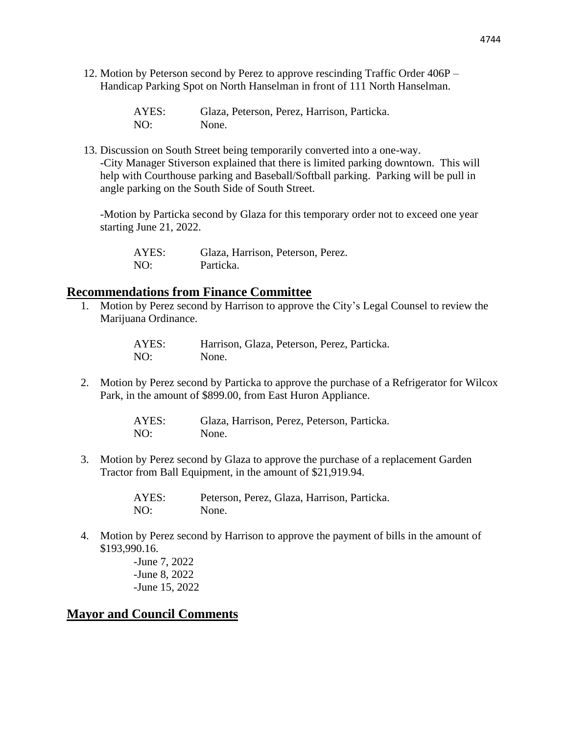12. Motion by Peterson second by Perez to approve rescinding Traffic Order 406P – Handicap Parking Spot on North Hanselman in front of 111 North Hanselman.

| AYES: | Glaza, Peterson, Perez, Harrison, Particka. |
|-------|---------------------------------------------|
| NO:   | None.                                       |

13. Discussion on South Street being temporarily converted into a one-way. -City Manager Stiverson explained that there is limited parking downtown. This will help with Courthouse parking and Baseball/Softball parking. Parking will be pull in angle parking on the South Side of South Street.

-Motion by Particka second by Glaza for this temporary order not to exceed one year starting June 21, 2022.

AYES: Glaza, Harrison, Peterson, Perez. NO: Particka.

#### **Recommendations from Finance Committee**

1. Motion by Perez second by Harrison to approve the City's Legal Counsel to review the Marijuana Ordinance.

> AYES: Harrison, Glaza, Peterson, Perez, Particka. NO: None.

2. Motion by Perez second by Particka to approve the purchase of a Refrigerator for Wilcox Park, in the amount of \$899.00, from East Huron Appliance.

> AYES: Glaza, Harrison, Perez, Peterson, Particka. NO: None.

3. Motion by Perez second by Glaza to approve the purchase of a replacement Garden Tractor from Ball Equipment, in the amount of \$21,919.94.

> AYES: Peterson, Perez, Glaza, Harrison, Particka. NO: None.

4. Motion by Perez second by Harrison to approve the payment of bills in the amount of \$193,990.16.

> -June 7, 2022 -June 8, 2022 -June 15, 2022

# **Mayor and Council Comments**